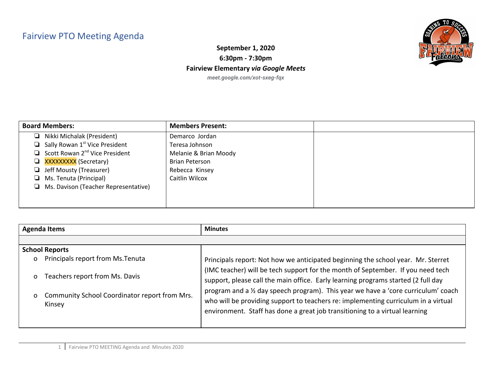## Fairview PTO Meeting Agenda



**September 1, 2020 6:30pm - 7:30pm Fairview Elementary** *via Google Meets meet.google.com/xot-sxeg-fqx*

| <b>Board Members:</b>                             | <b>Members Present:</b> |  |
|---------------------------------------------------|-------------------------|--|
| Nikki Michalak (President)<br>ப                   | Demarco Jordan          |  |
| $\Box$ Sally Rowan 1 <sup>st</sup> Vice President | Teresa Johnson          |  |
| $\Box$ Scott Rowan 2 <sup>nd</sup> Vice President | Melanie & Brian Moody   |  |
| <b>Exxxxxxxxxx</b> (Secretary)                    | Brian Peterson          |  |
| $\Box$ Jeff Mousty (Treasurer)                    | Rebecca Kinsey          |  |
| $\Box$ Ms. Tenuta (Principal)                     | Caitlin Wilcox          |  |
| $\Box$ Ms. Davison (Teacher Representative)       |                         |  |
|                                                   |                         |  |
|                                                   |                         |  |

| <b>Agenda Items</b> |                                                         | <b>Minutes</b>                                                                                                                                                                                                                                          |
|---------------------|---------------------------------------------------------|---------------------------------------------------------------------------------------------------------------------------------------------------------------------------------------------------------------------------------------------------------|
|                     |                                                         |                                                                                                                                                                                                                                                         |
|                     | <b>School Reports</b>                                   |                                                                                                                                                                                                                                                         |
| o                   | Principals report from Ms. Tenuta                       | Principals report: Not how we anticipated beginning the school year. Mr. Sterret                                                                                                                                                                        |
| O                   | Teachers report from Ms. Davis                          | (IMC teacher) will be tech support for the month of September. If you need tech<br>support, please call the main office. Early learning programs started (2 full day                                                                                    |
| $\mathbf{O}$        | Community School Coordinator report from Mrs.<br>Kinsey | program and a 1/2 day speech program). This year we have a 'core curriculum' coach<br>who will be providing support to teachers re: implementing curriculum in a virtual<br>environment. Staff has done a great job transitioning to a virtual learning |
|                     |                                                         |                                                                                                                                                                                                                                                         |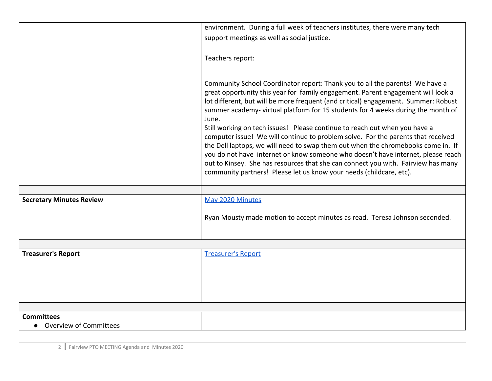|                                 | environment. During a full week of teachers institutes, there were many tech                                                                                                                                                                                                                                                                                                                                                                                                                                                                                                                                                                                                                                                                                                                                                                             |
|---------------------------------|----------------------------------------------------------------------------------------------------------------------------------------------------------------------------------------------------------------------------------------------------------------------------------------------------------------------------------------------------------------------------------------------------------------------------------------------------------------------------------------------------------------------------------------------------------------------------------------------------------------------------------------------------------------------------------------------------------------------------------------------------------------------------------------------------------------------------------------------------------|
|                                 | support meetings as well as social justice.                                                                                                                                                                                                                                                                                                                                                                                                                                                                                                                                                                                                                                                                                                                                                                                                              |
|                                 |                                                                                                                                                                                                                                                                                                                                                                                                                                                                                                                                                                                                                                                                                                                                                                                                                                                          |
|                                 | Teachers report:                                                                                                                                                                                                                                                                                                                                                                                                                                                                                                                                                                                                                                                                                                                                                                                                                                         |
|                                 |                                                                                                                                                                                                                                                                                                                                                                                                                                                                                                                                                                                                                                                                                                                                                                                                                                                          |
|                                 | Community School Coordinator report: Thank you to all the parents! We have a<br>great opportunity this year for family engagement. Parent engagement will look a<br>lot different, but will be more frequent (and critical) engagement. Summer: Robust<br>summer academy-virtual platform for 15 students for 4 weeks during the month of<br>June.<br>Still working on tech issues! Please continue to reach out when you have a<br>computer issue! We will continue to problem solve. For the parents that received<br>the Dell laptops, we will need to swap them out when the chromebooks come in. If<br>you do not have internet or know someone who doesn't have internet, please reach<br>out to Kinsey. She has resources that she can connect you with. Fairview has many<br>community partners! Please let us know your needs (childcare, etc). |
|                                 |                                                                                                                                                                                                                                                                                                                                                                                                                                                                                                                                                                                                                                                                                                                                                                                                                                                          |
| <b>Secretary Minutes Review</b> | May 2020 Minutes                                                                                                                                                                                                                                                                                                                                                                                                                                                                                                                                                                                                                                                                                                                                                                                                                                         |
|                                 |                                                                                                                                                                                                                                                                                                                                                                                                                                                                                                                                                                                                                                                                                                                                                                                                                                                          |
|                                 | Ryan Mousty made motion to accept minutes as read. Teresa Johnson seconded.                                                                                                                                                                                                                                                                                                                                                                                                                                                                                                                                                                                                                                                                                                                                                                              |
|                                 |                                                                                                                                                                                                                                                                                                                                                                                                                                                                                                                                                                                                                                                                                                                                                                                                                                                          |
|                                 |                                                                                                                                                                                                                                                                                                                                                                                                                                                                                                                                                                                                                                                                                                                                                                                                                                                          |
| <b>Treasurer's Report</b>       | <b>Treasurer's Report</b>                                                                                                                                                                                                                                                                                                                                                                                                                                                                                                                                                                                                                                                                                                                                                                                                                                |
|                                 |                                                                                                                                                                                                                                                                                                                                                                                                                                                                                                                                                                                                                                                                                                                                                                                                                                                          |
|                                 |                                                                                                                                                                                                                                                                                                                                                                                                                                                                                                                                                                                                                                                                                                                                                                                                                                                          |
|                                 |                                                                                                                                                                                                                                                                                                                                                                                                                                                                                                                                                                                                                                                                                                                                                                                                                                                          |
|                                 |                                                                                                                                                                                                                                                                                                                                                                                                                                                                                                                                                                                                                                                                                                                                                                                                                                                          |
|                                 |                                                                                                                                                                                                                                                                                                                                                                                                                                                                                                                                                                                                                                                                                                                                                                                                                                                          |
| <b>Committees</b>               |                                                                                                                                                                                                                                                                                                                                                                                                                                                                                                                                                                                                                                                                                                                                                                                                                                                          |
| <b>Overview of Committees</b>   |                                                                                                                                                                                                                                                                                                                                                                                                                                                                                                                                                                                                                                                                                                                                                                                                                                                          |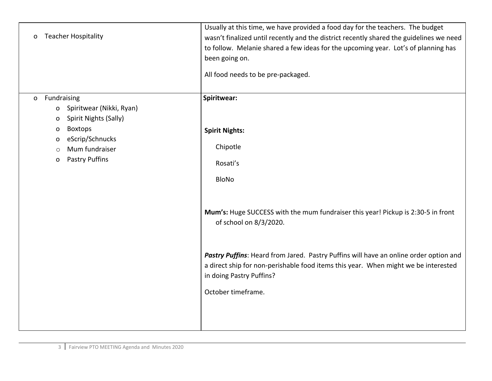| <b>Teacher Hospitality</b><br>O                                                                                                                                                                  | Usually at this time, we have provided a food day for the teachers. The budget<br>wasn't finalized until recently and the district recently shared the guidelines we need<br>to follow. Melanie shared a few ideas for the upcoming year. Lot's of planning has<br>been going on.<br>All food needs to be pre-packaged. |
|--------------------------------------------------------------------------------------------------------------------------------------------------------------------------------------------------|-------------------------------------------------------------------------------------------------------------------------------------------------------------------------------------------------------------------------------------------------------------------------------------------------------------------------|
| Fundraising<br>$\Omega$<br>Spiritwear (Nikki, Ryan)<br>0<br>Spirit Nights (Sally)<br>o<br><b>Boxtops</b><br>0<br>eScrip/Schnucks<br>o<br>Mum fundraiser<br>$\circ$<br><b>Pastry Puffins</b><br>o | Spiritwear:<br><b>Spirit Nights:</b><br>Chipotle<br>Rosati's<br><b>BloNo</b>                                                                                                                                                                                                                                            |
|                                                                                                                                                                                                  | Mum's: Huge SUCCESS with the mum fundraiser this year! Pickup is 2:30-5 in front<br>of school on 8/3/2020.                                                                                                                                                                                                              |
|                                                                                                                                                                                                  | Pastry Puffins: Heard from Jared. Pastry Puffins will have an online order option and<br>a direct ship for non-perishable food items this year. When might we be interested<br>in doing Pastry Puffins?<br>October timeframe.                                                                                           |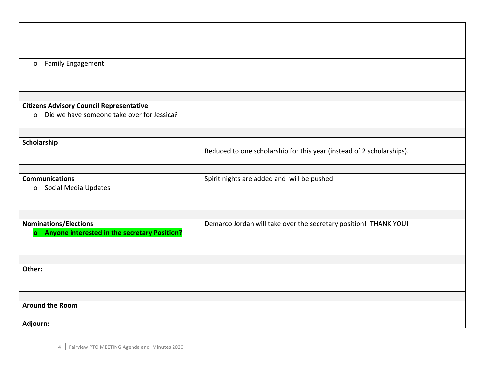| <b>Family Engagement</b><br>$\mathbf{O}$                                       |                                                                       |
|--------------------------------------------------------------------------------|-----------------------------------------------------------------------|
|                                                                                |                                                                       |
|                                                                                |                                                                       |
|                                                                                |                                                                       |
| <b>Citizens Advisory Council Representative</b>                                |                                                                       |
| o Did we have someone take over for Jessica?                                   |                                                                       |
|                                                                                |                                                                       |
| Scholarship                                                                    |                                                                       |
|                                                                                | Reduced to one scholarship for this year (instead of 2 scholarships). |
|                                                                                |                                                                       |
| <b>Communications</b>                                                          |                                                                       |
| o Social Media Updates                                                         | Spirit nights are added and will be pushed                            |
|                                                                                |                                                                       |
|                                                                                |                                                                       |
|                                                                                |                                                                       |
| <b>Nominations/Elections</b><br>o Anyone interested in the secretary Position? | Demarco Jordan will take over the secretary position! THANK YOU!      |
|                                                                                |                                                                       |
|                                                                                |                                                                       |
|                                                                                |                                                                       |
| Other:                                                                         |                                                                       |
|                                                                                |                                                                       |
|                                                                                |                                                                       |
| <b>Around the Room</b>                                                         |                                                                       |
|                                                                                |                                                                       |
| Adjourn:                                                                       |                                                                       |